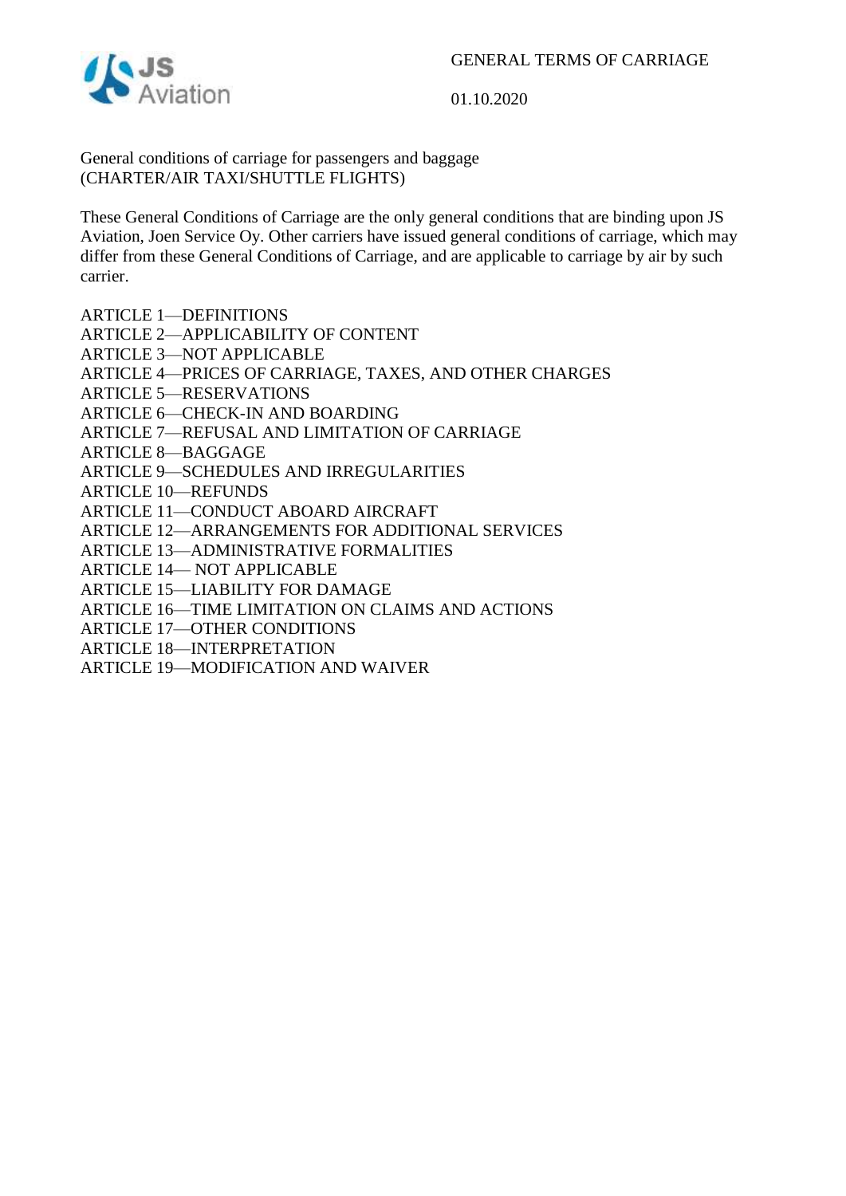

General conditions of carriage for passengers and baggage (CHARTER/AIR TAXI/SHUTTLE FLIGHTS)

These General Conditions of Carriage are the only general conditions that are binding upon JS Aviation, Joen Service Oy. Other carriers have issued general conditions of carriage, which may differ from these General Conditions of Carriage, and are applicable to carriage by air by such carrier.

- ARTICLE 1—DEFINITIONS
- ARTICLE 2—APPLICABILITY OF CONTENT
- ARTICLE 3—NOT APPLICABLE
- ARTICLE 4—PRICES OF CARRIAGE, TAXES, AND OTHER CHARGES
- ARTICLE 5—RESERVATIONS
- ARTICLE 6—CHECK-IN AND BOARDING
- ARTICLE 7—REFUSAL AND LIMITATION OF CARRIAGE
- ARTICLE 8—BAGGAGE
- ARTICLE 9—SCHEDULES AND IRREGULARITIES
- ARTICLE 10—REFUNDS
- ARTICLE 11—CONDUCT ABOARD AIRCRAFT
- ARTICLE 12—ARRANGEMENTS FOR ADDITIONAL SERVICES
- ARTICLE 13—ADMINISTRATIVE FORMALITIES
- ARTICLE 14— NOT APPLICABLE
- ARTICLE 15—LIABILITY FOR DAMAGE
- ARTICLE 16—TIME LIMITATION ON CLAIMS AND ACTIONS
- ARTICLE 17—OTHER CONDITIONS
- ARTICLE 18—INTERPRETATION
- ARTICLE 19—MODIFICATION AND WAIVER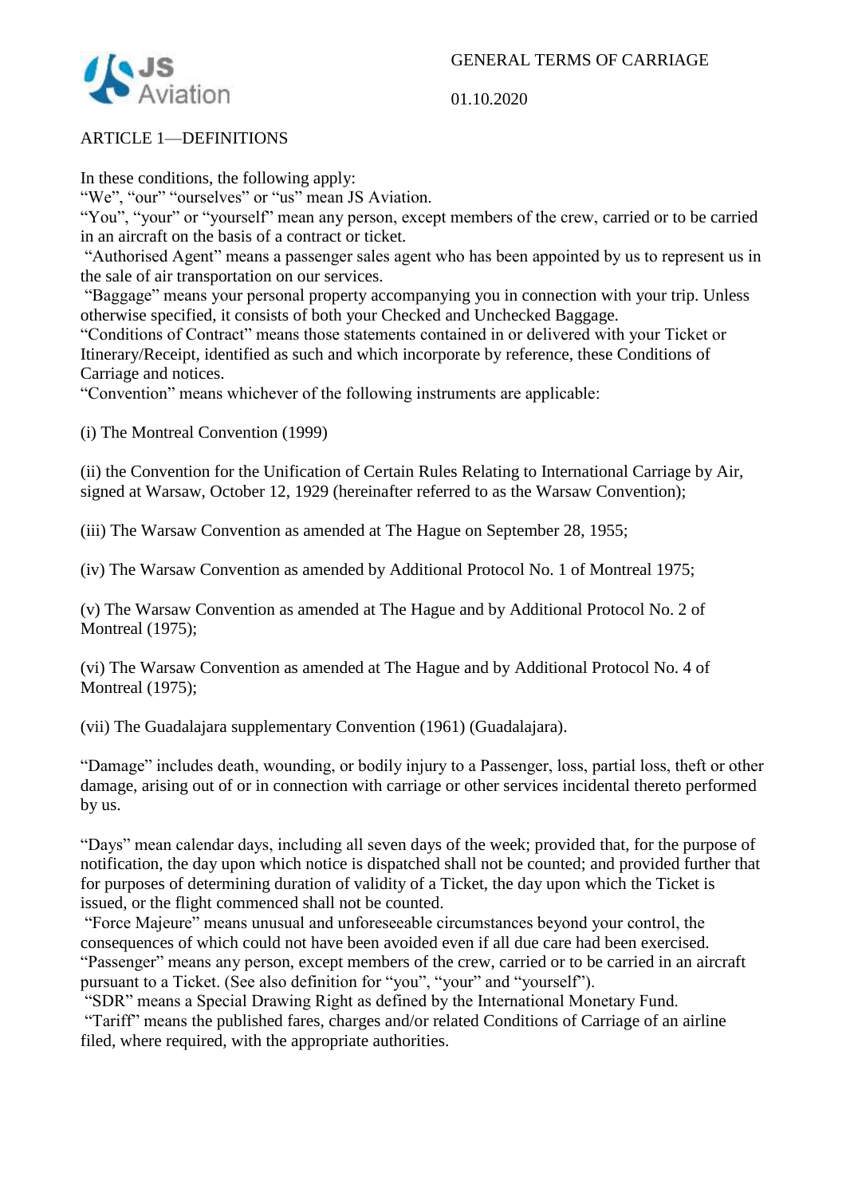

# ARTICLE 1—DEFINITIONS

In these conditions, the following apply:

"We", "our" "ourselves" or "us" mean JS Aviation.

"You", "your" or "yourself" mean any person, except members of the crew, carried or to be carried in an aircraft on the basis of a contract or ticket.

"Authorised Agent" means a passenger sales agent who has been appointed by us to represent us in the sale of air transportation on our services.

"Baggage" means your personal property accompanying you in connection with your trip. Unless otherwise specified, it consists of both your Checked and Unchecked Baggage.

"Conditions of Contract" means those statements contained in or delivered with your Ticket or Itinerary/Receipt, identified as such and which incorporate by reference, these Conditions of Carriage and notices.

"Convention" means whichever of the following instruments are applicable:

(i) The Montreal Convention (1999)

(ii) the Convention for the Unification of Certain Rules Relating to International Carriage by Air, signed at Warsaw, October 12, 1929 (hereinafter referred to as the Warsaw Convention);

(iii) The Warsaw Convention as amended at The Hague on September 28, 1955;

(iv) The Warsaw Convention as amended by Additional Protocol No. 1 of Montreal 1975;

(v) The Warsaw Convention as amended at The Hague and by Additional Protocol No. 2 of Montreal (1975);

(vi) The Warsaw Convention as amended at The Hague and by Additional Protocol No. 4 of Montreal (1975);

(vii) The Guadalajara supplementary Convention (1961) (Guadalajara).

"Damage" includes death, wounding, or bodily injury to a Passenger, loss, partial loss, theft or other damage, arising out of or in connection with carriage or other services incidental thereto performed by us.

"Days" mean calendar days, including all seven days of the week; provided that, for the purpose of notification, the day upon which notice is dispatched shall not be counted; and provided further that for purposes of determining duration of validity of a Ticket, the day upon which the Ticket is issued, or the flight commenced shall not be counted.

"Force Majeure" means unusual and unforeseeable circumstances beyond your control, the consequences of which could not have been avoided even if all due care had been exercised. "Passenger" means any person, except members of the crew, carried or to be carried in an aircraft pursuant to a Ticket. (See also definition for "you", "your" and "yourself").

"SDR" means a Special Drawing Right as defined by the International Monetary Fund. "Tariff" means the published fares, charges and/or related Conditions of Carriage of an airline

filed, where required, with the appropriate authorities.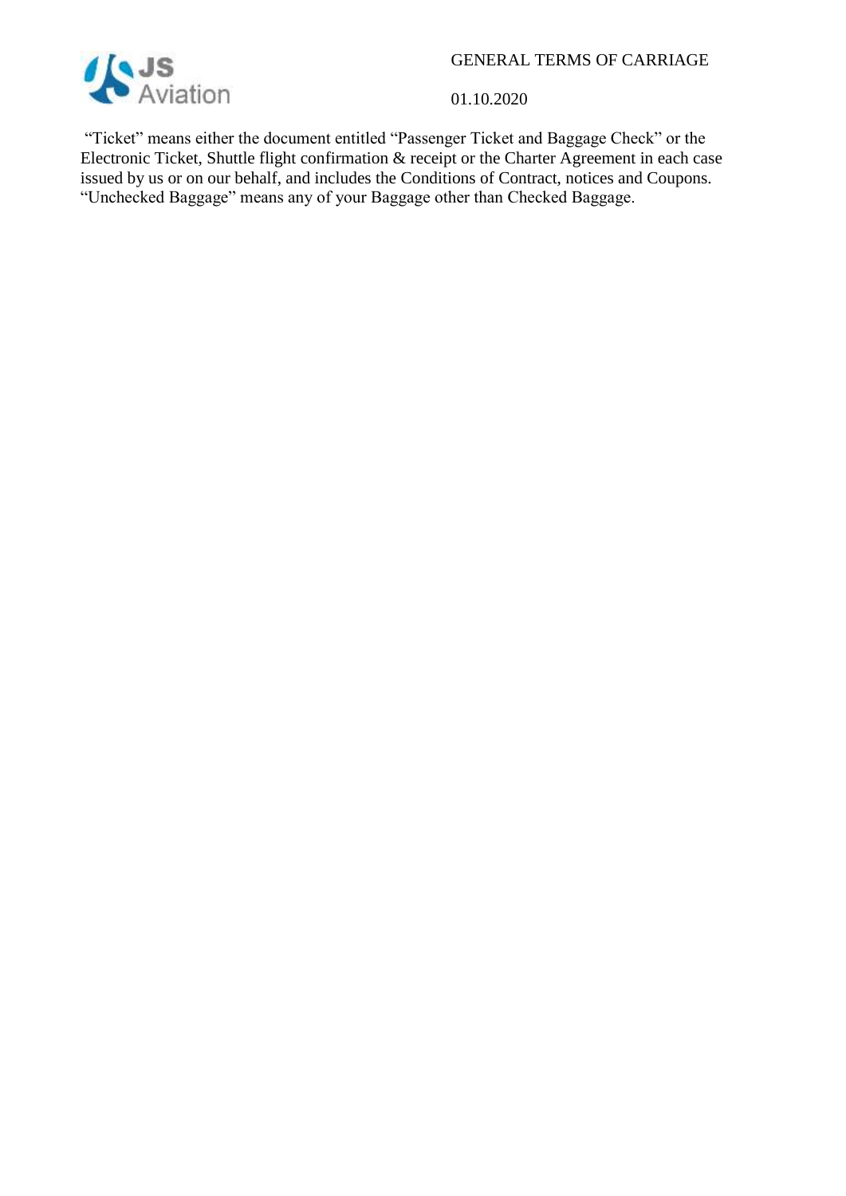

01.10.2020

"Ticket" means either the document entitled "Passenger Ticket and Baggage Check" or the Electronic Ticket, Shuttle flight confirmation & receipt or the Charter Agreement in each case issued by us or on our behalf, and includes the Conditions of Contract, notices and Coupons. "Unchecked Baggage" means any of your Baggage other than Checked Baggage.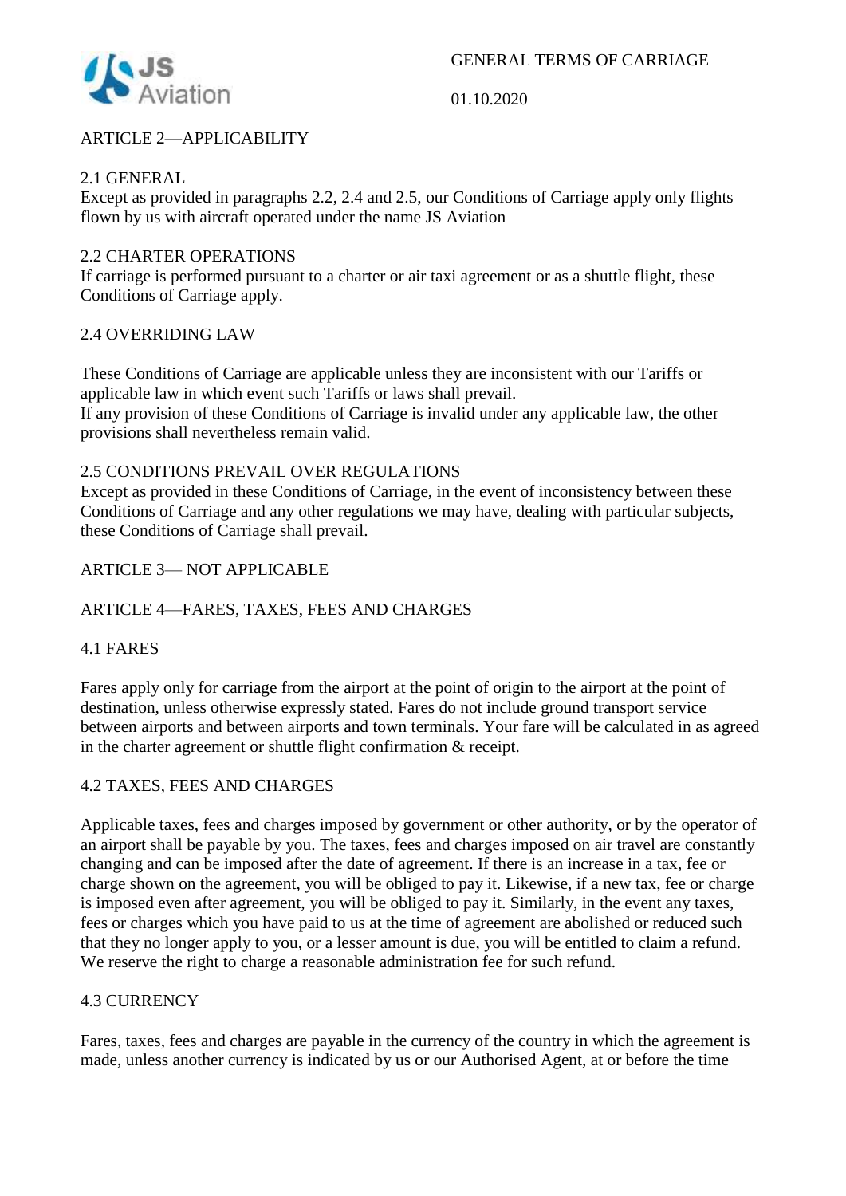

# ARTICLE 2—APPLICABILITY

#### 2.1 GENERAL

Except as provided in paragraphs 2.2, 2.4 and 2.5, our Conditions of Carriage apply only flights flown by us with aircraft operated under the name JS Aviation

#### 2.2 CHARTER OPERATIONS

If carriage is performed pursuant to a charter or air taxi agreement or as a shuttle flight, these Conditions of Carriage apply.

#### 2.4 OVERRIDING LAW

These Conditions of Carriage are applicable unless they are inconsistent with our Tariffs or applicable law in which event such Tariffs or laws shall prevail.

If any provision of these Conditions of Carriage is invalid under any applicable law, the other provisions shall nevertheless remain valid.

#### 2.5 CONDITIONS PREVAIL OVER REGULATIONS

Except as provided in these Conditions of Carriage, in the event of inconsistency between these Conditions of Carriage and any other regulations we may have, dealing with particular subjects, these Conditions of Carriage shall prevail.

#### ARTICLE 3— NOT APPLICABLE

## ARTICLE 4—FARES, TAXES, FEES AND CHARGES

#### 4.1 FARES

Fares apply only for carriage from the airport at the point of origin to the airport at the point of destination, unless otherwise expressly stated. Fares do not include ground transport service between airports and between airports and town terminals. Your fare will be calculated in as agreed in the charter agreement or shuttle flight confirmation & receipt.

#### 4.2 TAXES, FEES AND CHARGES

Applicable taxes, fees and charges imposed by government or other authority, or by the operator of an airport shall be payable by you. The taxes, fees and charges imposed on air travel are constantly changing and can be imposed after the date of agreement. If there is an increase in a tax, fee or charge shown on the agreement, you will be obliged to pay it. Likewise, if a new tax, fee or charge is imposed even after agreement, you will be obliged to pay it. Similarly, in the event any taxes, fees or charges which you have paid to us at the time of agreement are abolished or reduced such that they no longer apply to you, or a lesser amount is due, you will be entitled to claim a refund. We reserve the right to charge a reasonable administration fee for such refund.

#### 4.3 CURRENCY

Fares, taxes, fees and charges are payable in the currency of the country in which the agreement is made, unless another currency is indicated by us or our Authorised Agent, at or before the time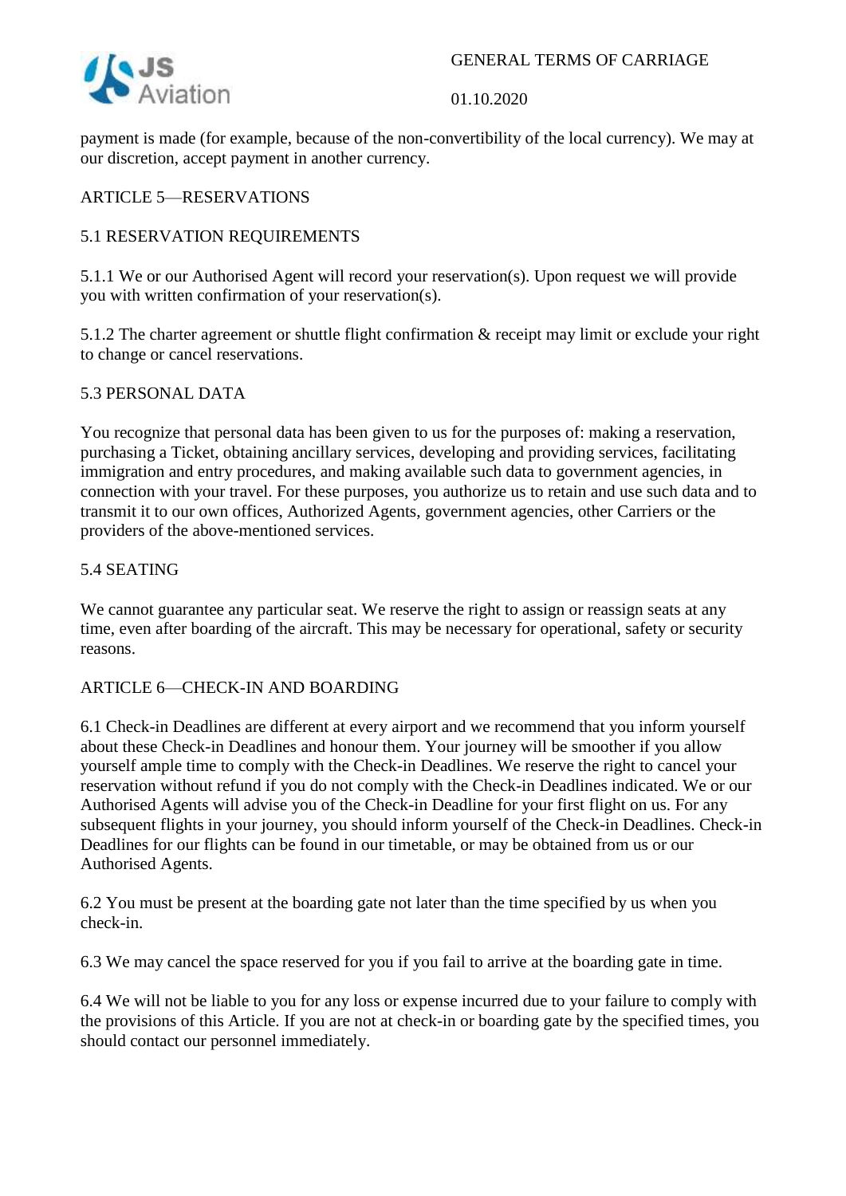



payment is made (for example, because of the non-convertibility of the local currency). We may at our discretion, accept payment in another currency.

# ARTICLE 5—RESERVATIONS

## 5.1 RESERVATION REQUIREMENTS

5.1.1 We or our Authorised Agent will record your reservation(s). Upon request we will provide you with written confirmation of your reservation(s).

5.1.2 The charter agreement or shuttle flight confirmation & receipt may limit or exclude your right to change or cancel reservations.

## 5.3 PERSONAL DATA

You recognize that personal data has been given to us for the purposes of: making a reservation, purchasing a Ticket, obtaining ancillary services, developing and providing services, facilitating immigration and entry procedures, and making available such data to government agencies, in connection with your travel. For these purposes, you authorize us to retain and use such data and to transmit it to our own offices, Authorized Agents, government agencies, other Carriers or the providers of the above-mentioned services.

#### 5.4 SEATING

We cannot guarantee any particular seat. We reserve the right to assign or reassign seats at any time, even after boarding of the aircraft. This may be necessary for operational, safety or security reasons.

## ARTICLE 6—CHECK-IN AND BOARDING

6.1 Check-in Deadlines are different at every airport and we recommend that you inform yourself about these Check-in Deadlines and honour them. Your journey will be smoother if you allow yourself ample time to comply with the Check-in Deadlines. We reserve the right to cancel your reservation without refund if you do not comply with the Check-in Deadlines indicated. We or our Authorised Agents will advise you of the Check-in Deadline for your first flight on us. For any subsequent flights in your journey, you should inform yourself of the Check-in Deadlines. Check-in Deadlines for our flights can be found in our timetable, or may be obtained from us or our Authorised Agents.

6.2 You must be present at the boarding gate not later than the time specified by us when you check-in.

6.3 We may cancel the space reserved for you if you fail to arrive at the boarding gate in time.

6.4 We will not be liable to you for any loss or expense incurred due to your failure to comply with the provisions of this Article. If you are not at check-in or boarding gate by the specified times, you should contact our personnel immediately.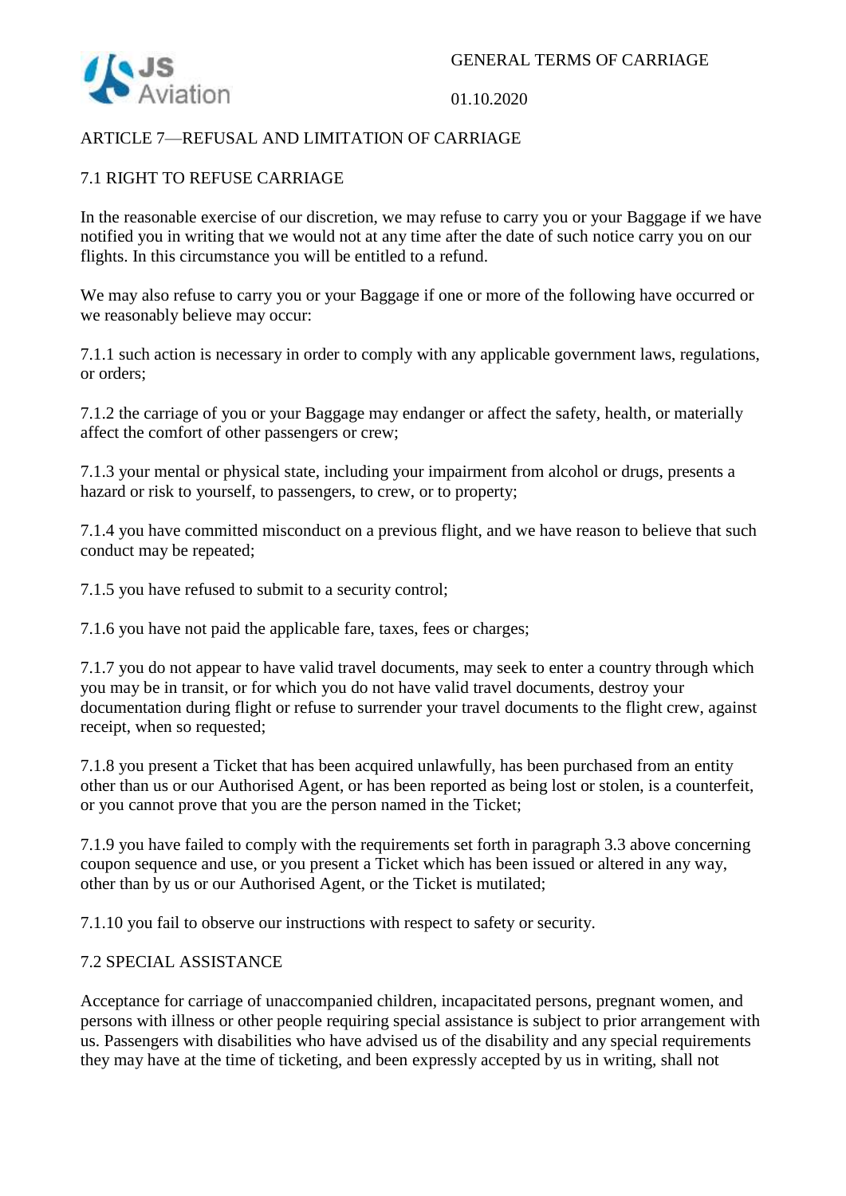

## ARTICLE 7—REFUSAL AND LIMITATION OF CARRIAGE

# 7.1 RIGHT TO REFUSE CARRIAGE

In the reasonable exercise of our discretion, we may refuse to carry you or your Baggage if we have notified you in writing that we would not at any time after the date of such notice carry you on our flights. In this circumstance you will be entitled to a refund.

We may also refuse to carry you or your Baggage if one or more of the following have occurred or we reasonably believe may occur:

7.1.1 such action is necessary in order to comply with any applicable government laws, regulations, or orders;

7.1.2 the carriage of you or your Baggage may endanger or affect the safety, health, or materially affect the comfort of other passengers or crew;

7.1.3 your mental or physical state, including your impairment from alcohol or drugs, presents a hazard or risk to yourself, to passengers, to crew, or to property;

7.1.4 you have committed misconduct on a previous flight, and we have reason to believe that such conduct may be repeated;

7.1.5 you have refused to submit to a security control;

7.1.6 you have not paid the applicable fare, taxes, fees or charges;

7.1.7 you do not appear to have valid travel documents, may seek to enter a country through which you may be in transit, or for which you do not have valid travel documents, destroy your documentation during flight or refuse to surrender your travel documents to the flight crew, against receipt, when so requested;

7.1.8 you present a Ticket that has been acquired unlawfully, has been purchased from an entity other than us or our Authorised Agent, or has been reported as being lost or stolen, is a counterfeit, or you cannot prove that you are the person named in the Ticket;

7.1.9 you have failed to comply with the requirements set forth in paragraph 3.3 above concerning coupon sequence and use, or you present a Ticket which has been issued or altered in any way, other than by us or our Authorised Agent, or the Ticket is mutilated;

7.1.10 you fail to observe our instructions with respect to safety or security.

## 7.2 SPECIAL ASSISTANCE

Acceptance for carriage of unaccompanied children, incapacitated persons, pregnant women, and persons with illness or other people requiring special assistance is subject to prior arrangement with us. Passengers with disabilities who have advised us of the disability and any special requirements they may have at the time of ticketing, and been expressly accepted by us in writing, shall not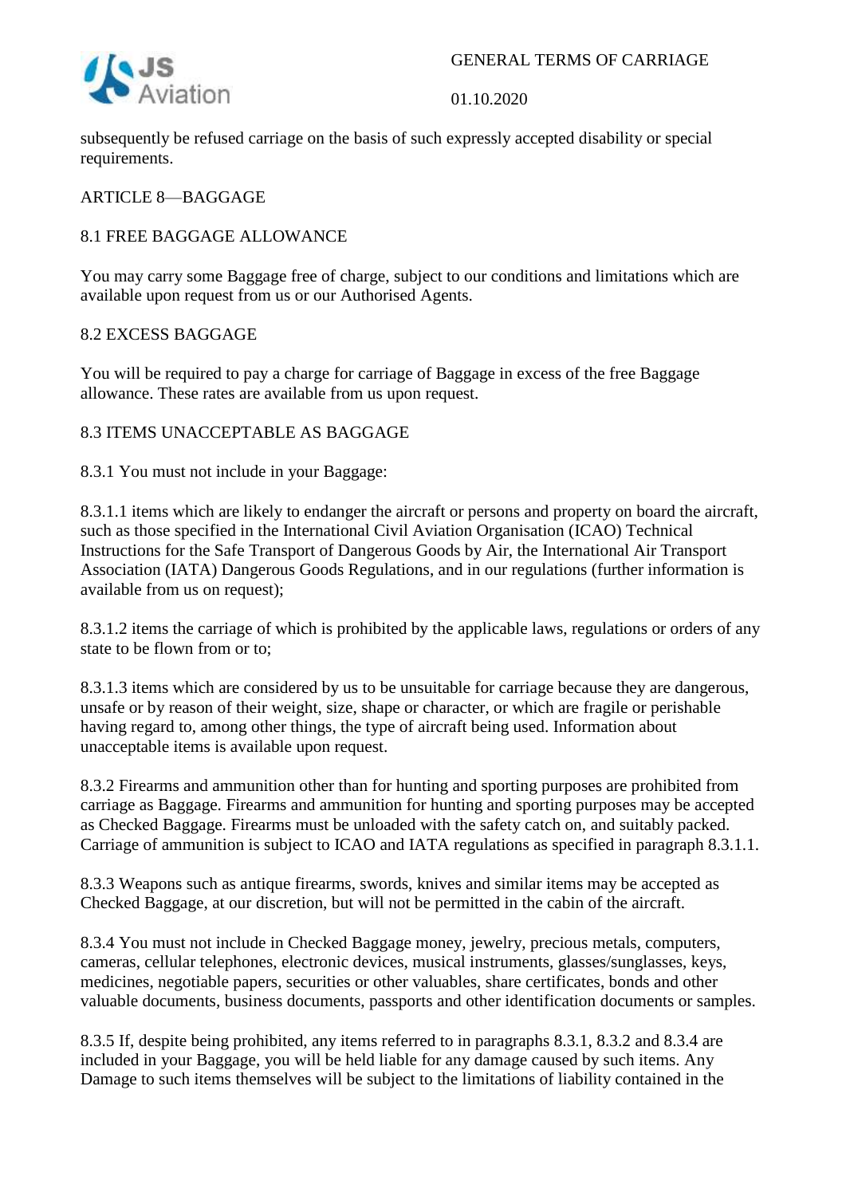

subsequently be refused carriage on the basis of such expressly accepted disability or special requirements.

# ARTICLE 8—BAGGAGE

# 8.1 FREE BAGGAGE ALLOWANCE

You may carry some Baggage free of charge, subject to our conditions and limitations which are available upon request from us or our Authorised Agents.

## 8.2 EXCESS BAGGAGE

You will be required to pay a charge for carriage of Baggage in excess of the free Baggage allowance. These rates are available from us upon request.

# 8.3 ITEMS UNACCEPTABLE AS BAGGAGE

8.3.1 You must not include in your Baggage:

8.3.1.1 items which are likely to endanger the aircraft or persons and property on board the aircraft, such as those specified in the International Civil Aviation Organisation (ICAO) Technical Instructions for the Safe Transport of Dangerous Goods by Air, the International Air Transport Association (IATA) Dangerous Goods Regulations, and in our regulations (further information is available from us on request);

8.3.1.2 items the carriage of which is prohibited by the applicable laws, regulations or orders of any state to be flown from or to;

8.3.1.3 items which are considered by us to be unsuitable for carriage because they are dangerous, unsafe or by reason of their weight, size, shape or character, or which are fragile or perishable having regard to, among other things, the type of aircraft being used. Information about unacceptable items is available upon request.

8.3.2 Firearms and ammunition other than for hunting and sporting purposes are prohibited from carriage as Baggage. Firearms and ammunition for hunting and sporting purposes may be accepted as Checked Baggage. Firearms must be unloaded with the safety catch on, and suitably packed. Carriage of ammunition is subject to ICAO and IATA regulations as specified in paragraph 8.3.1.1.

8.3.3 Weapons such as antique firearms, swords, knives and similar items may be accepted as Checked Baggage, at our discretion, but will not be permitted in the cabin of the aircraft.

8.3.4 You must not include in Checked Baggage money, jewelry, precious metals, computers, cameras, cellular telephones, electronic devices, musical instruments, glasses/sunglasses, keys, medicines, negotiable papers, securities or other valuables, share certificates, bonds and other valuable documents, business documents, passports and other identification documents or samples.

8.3.5 If, despite being prohibited, any items referred to in paragraphs 8.3.1, 8.3.2 and 8.3.4 are included in your Baggage, you will be held liable for any damage caused by such items. Any Damage to such items themselves will be subject to the limitations of liability contained in the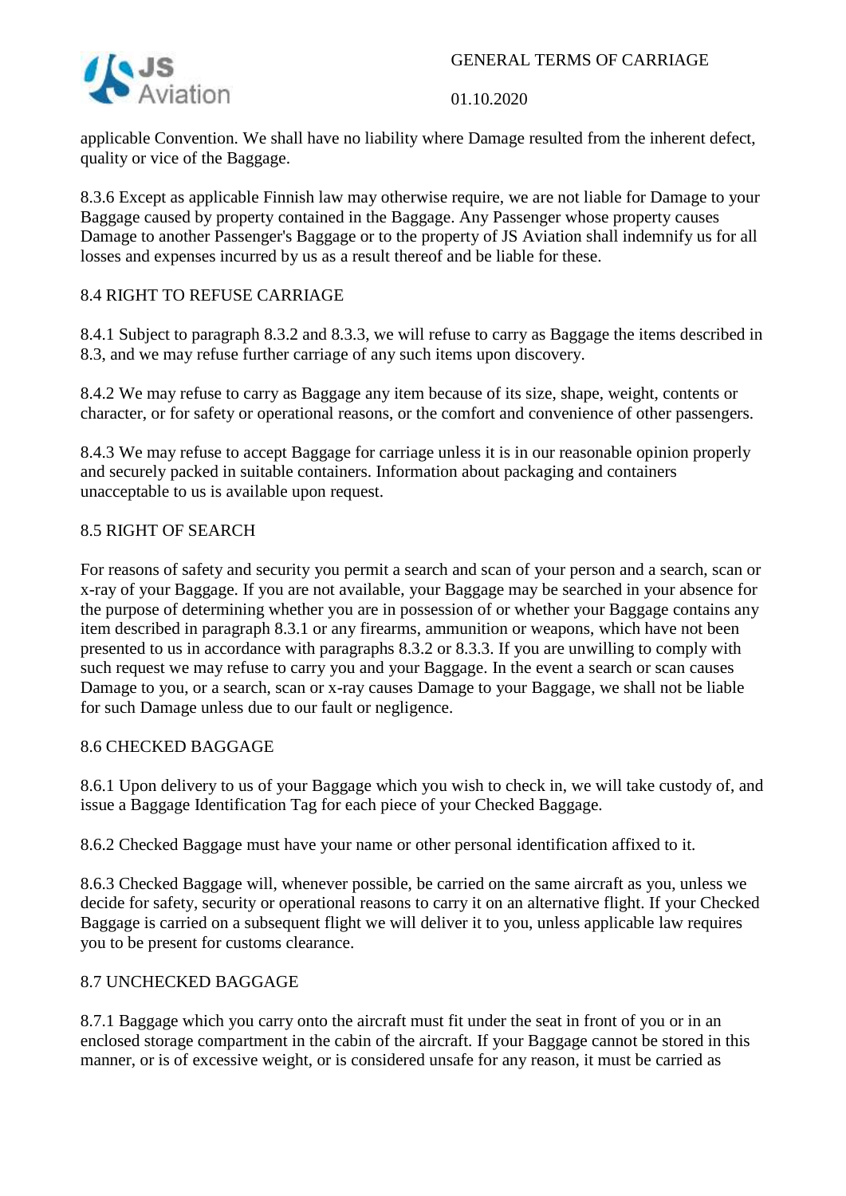

#### 01.10.2020

applicable Convention. We shall have no liability where Damage resulted from the inherent defect, quality or vice of the Baggage.

8.3.6 Except as applicable Finnish law may otherwise require, we are not liable for Damage to your Baggage caused by property contained in the Baggage. Any Passenger whose property causes Damage to another Passenger's Baggage or to the property of JS Aviation shall indemnify us for all losses and expenses incurred by us as a result thereof and be liable for these.

# 8.4 RIGHT TO REFUSE CARRIAGE

8.4.1 Subject to paragraph 8.3.2 and 8.3.3, we will refuse to carry as Baggage the items described in 8.3, and we may refuse further carriage of any such items upon discovery.

8.4.2 We may refuse to carry as Baggage any item because of its size, shape, weight, contents or character, or for safety or operational reasons, or the comfort and convenience of other passengers.

8.4.3 We may refuse to accept Baggage for carriage unless it is in our reasonable opinion properly and securely packed in suitable containers. Information about packaging and containers unacceptable to us is available upon request.

# 8.5 RIGHT OF SEARCH

For reasons of safety and security you permit a search and scan of your person and a search, scan or x-ray of your Baggage. If you are not available, your Baggage may be searched in your absence for the purpose of determining whether you are in possession of or whether your Baggage contains any item described in paragraph 8.3.1 or any firearms, ammunition or weapons, which have not been presented to us in accordance with paragraphs 8.3.2 or 8.3.3. If you are unwilling to comply with such request we may refuse to carry you and your Baggage. In the event a search or scan causes Damage to you, or a search, scan or x-ray causes Damage to your Baggage, we shall not be liable for such Damage unless due to our fault or negligence.

## 8.6 CHECKED BAGGAGE

8.6.1 Upon delivery to us of your Baggage which you wish to check in, we will take custody of, and issue a Baggage Identification Tag for each piece of your Checked Baggage.

8.6.2 Checked Baggage must have your name or other personal identification affixed to it.

8.6.3 Checked Baggage will, whenever possible, be carried on the same aircraft as you, unless we decide for safety, security or operational reasons to carry it on an alternative flight. If your Checked Baggage is carried on a subsequent flight we will deliver it to you, unless applicable law requires you to be present for customs clearance.

## 8.7 UNCHECKED BAGGAGE

8.7.1 Baggage which you carry onto the aircraft must fit under the seat in front of you or in an enclosed storage compartment in the cabin of the aircraft. If your Baggage cannot be stored in this manner, or is of excessive weight, or is considered unsafe for any reason, it must be carried as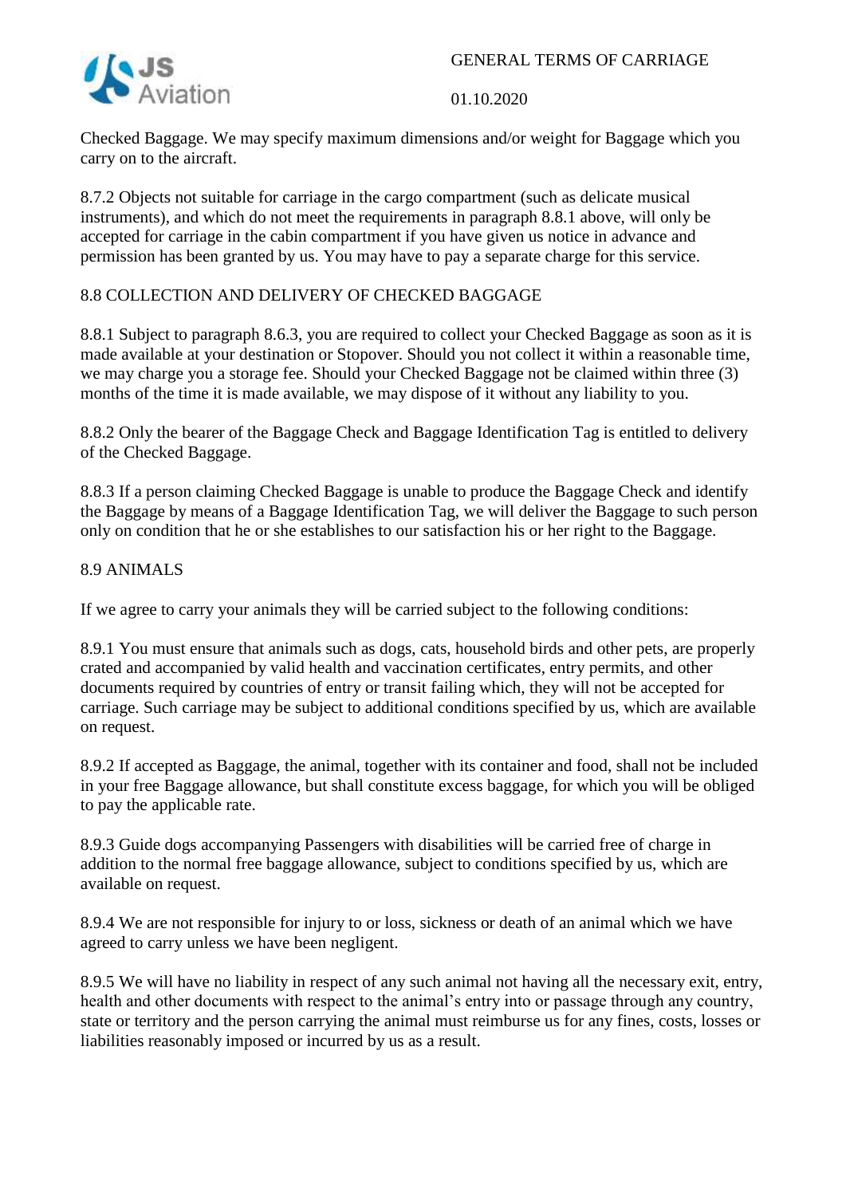

01.10.2020

Checked Baggage. We may specify maximum dimensions and/or weight for Baggage which you carry on to the aircraft.

8.7.2 Objects not suitable for carriage in the cargo compartment (such as delicate musical instruments), and which do not meet the requirements in paragraph 8.8.1 above, will only be accepted for carriage in the cabin compartment if you have given us notice in advance and permission has been granted by us. You may have to pay a separate charge for this service.

# 8.8 COLLECTION AND DELIVERY OF CHECKED BAGGAGE

8.8.1 Subject to paragraph 8.6.3, you are required to collect your Checked Baggage as soon as it is made available at your destination or Stopover. Should you not collect it within a reasonable time, we may charge you a storage fee. Should your Checked Baggage not be claimed within three (3) months of the time it is made available, we may dispose of it without any liability to you.

8.8.2 Only the bearer of the Baggage Check and Baggage Identification Tag is entitled to delivery of the Checked Baggage.

8.8.3 If a person claiming Checked Baggage is unable to produce the Baggage Check and identify the Baggage by means of a Baggage Identification Tag, we will deliver the Baggage to such person only on condition that he or she establishes to our satisfaction his or her right to the Baggage.

#### 8.9 ANIMALS

If we agree to carry your animals they will be carried subject to the following conditions:

8.9.1 You must ensure that animals such as dogs, cats, household birds and other pets, are properly crated and accompanied by valid health and vaccination certificates, entry permits, and other documents required by countries of entry or transit failing which, they will not be accepted for carriage. Such carriage may be subject to additional conditions specified by us, which are available on request.

8.9.2 If accepted as Baggage, the animal, together with its container and food, shall not be included in your free Baggage allowance, but shall constitute excess baggage, for which you will be obliged to pay the applicable rate.

8.9.3 Guide dogs accompanying Passengers with disabilities will be carried free of charge in addition to the normal free baggage allowance, subject to conditions specified by us, which are available on request.

8.9.4 We are not responsible for injury to or loss, sickness or death of an animal which we have agreed to carry unless we have been negligent.

8.9.5 We will have no liability in respect of any such animal not having all the necessary exit, entry, health and other documents with respect to the animal's entry into or passage through any country, state or territory and the person carrying the animal must reimburse us for any fines, costs, losses or liabilities reasonably imposed or incurred by us as a result.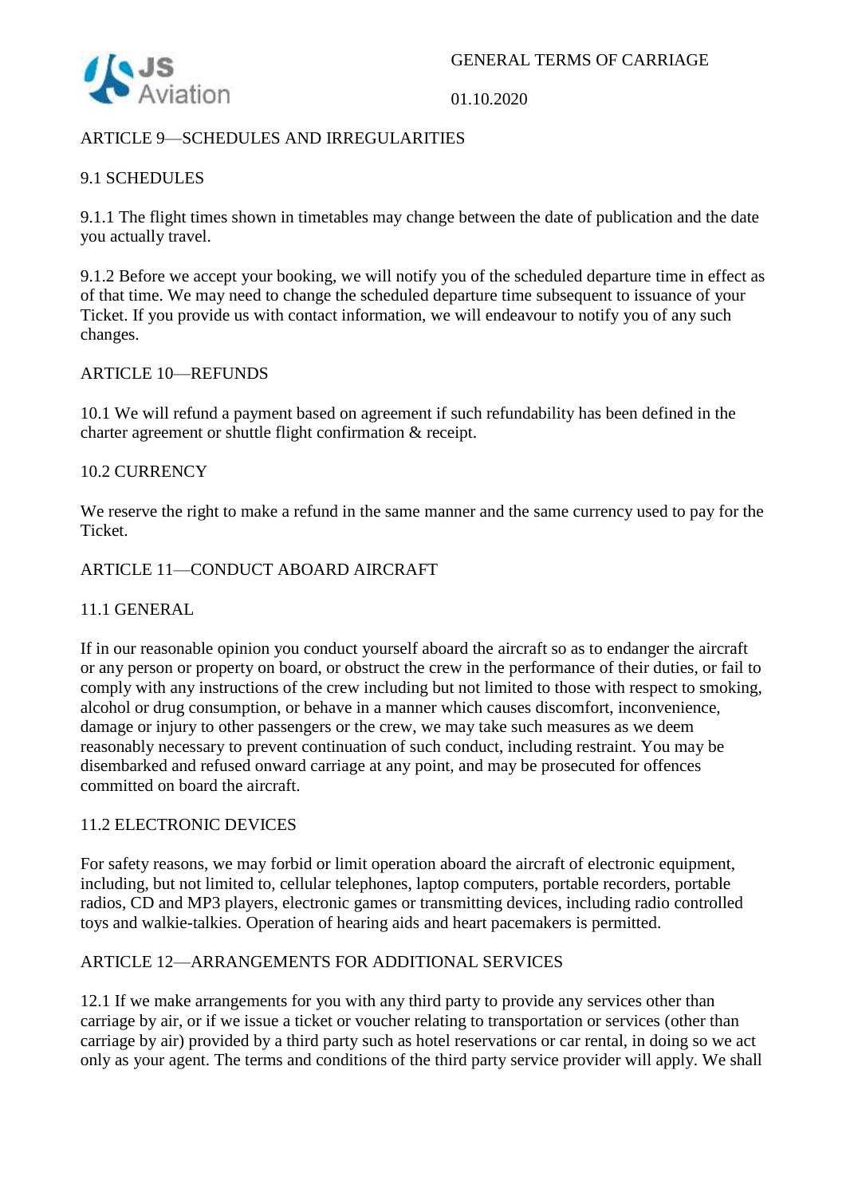

# ARTICLE 9—SCHEDULES AND IRREGULARITIES

# 9.1 SCHEDULES

9.1.1 The flight times shown in timetables may change between the date of publication and the date you actually travel.

9.1.2 Before we accept your booking, we will notify you of the scheduled departure time in effect as of that time. We may need to change the scheduled departure time subsequent to issuance of your Ticket. If you provide us with contact information, we will endeavour to notify you of any such changes.

#### ARTICLE 10—REFUNDS

10.1 We will refund a payment based on agreement if such refundability has been defined in the charter agreement or shuttle flight confirmation & receipt.

#### 10.2 CURRENCY

We reserve the right to make a refund in the same manner and the same currency used to pay for the Ticket.

#### ARTICLE 11—CONDUCT ABOARD AIRCRAFT

#### 11.1 GENERAL

If in our reasonable opinion you conduct yourself aboard the aircraft so as to endanger the aircraft or any person or property on board, or obstruct the crew in the performance of their duties, or fail to comply with any instructions of the crew including but not limited to those with respect to smoking, alcohol or drug consumption, or behave in a manner which causes discomfort, inconvenience, damage or injury to other passengers or the crew, we may take such measures as we deem reasonably necessary to prevent continuation of such conduct, including restraint. You may be disembarked and refused onward carriage at any point, and may be prosecuted for offences committed on board the aircraft.

## 11.2 ELECTRONIC DEVICES

For safety reasons, we may forbid or limit operation aboard the aircraft of electronic equipment, including, but not limited to, cellular telephones, laptop computers, portable recorders, portable radios, CD and MP3 players, electronic games or transmitting devices, including radio controlled toys and walkie-talkies. Operation of hearing aids and heart pacemakers is permitted.

## ARTICLE 12—ARRANGEMENTS FOR ADDITIONAL SERVICES

12.1 If we make arrangements for you with any third party to provide any services other than carriage by air, or if we issue a ticket or voucher relating to transportation or services (other than carriage by air) provided by a third party such as hotel reservations or car rental, in doing so we act only as your agent. The terms and conditions of the third party service provider will apply. We shall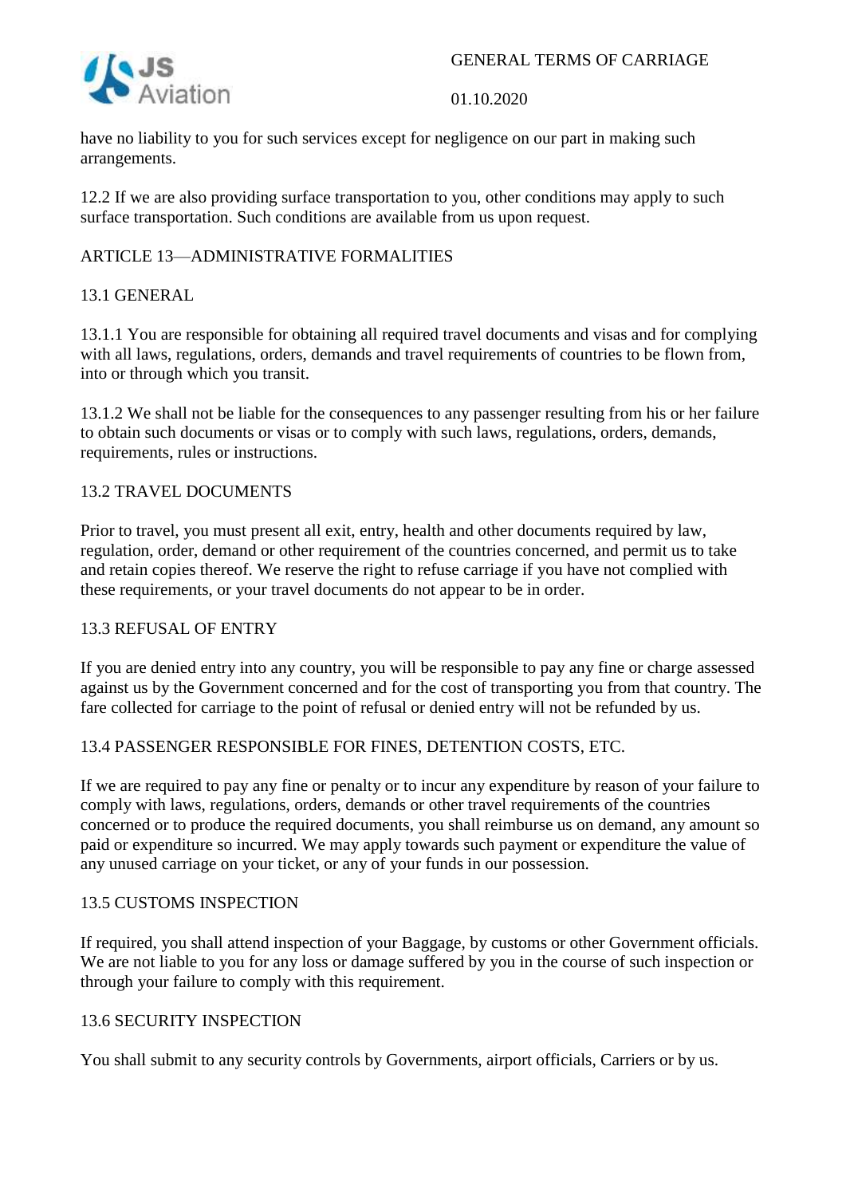

have no liability to you for such services except for negligence on our part in making such arrangements.

12.2 If we are also providing surface transportation to you, other conditions may apply to such surface transportation. Such conditions are available from us upon request.

# ARTICLE 13—ADMINISTRATIVE FORMALITIES

# 13.1 GENERAL

13.1.1 You are responsible for obtaining all required travel documents and visas and for complying with all laws, regulations, orders, demands and travel requirements of countries to be flown from, into or through which you transit.

13.1.2 We shall not be liable for the consequences to any passenger resulting from his or her failure to obtain such documents or visas or to comply with such laws, regulations, orders, demands, requirements, rules or instructions.

## 13.2 TRAVEL DOCUMENTS

Prior to travel, you must present all exit, entry, health and other documents required by law, regulation, order, demand or other requirement of the countries concerned, and permit us to take and retain copies thereof. We reserve the right to refuse carriage if you have not complied with these requirements, or your travel documents do not appear to be in order.

#### 13.3 REFUSAL OF ENTRY

If you are denied entry into any country, you will be responsible to pay any fine or charge assessed against us by the Government concerned and for the cost of transporting you from that country. The fare collected for carriage to the point of refusal or denied entry will not be refunded by us.

## 13.4 PASSENGER RESPONSIBLE FOR FINES, DETENTION COSTS, ETC.

If we are required to pay any fine or penalty or to incur any expenditure by reason of your failure to comply with laws, regulations, orders, demands or other travel requirements of the countries concerned or to produce the required documents, you shall reimburse us on demand, any amount so paid or expenditure so incurred. We may apply towards such payment or expenditure the value of any unused carriage on your ticket, or any of your funds in our possession.

#### 13.5 CUSTOMS INSPECTION

If required, you shall attend inspection of your Baggage, by customs or other Government officials. We are not liable to you for any loss or damage suffered by you in the course of such inspection or through your failure to comply with this requirement.

#### 13.6 SECURITY INSPECTION

You shall submit to any security controls by Governments, airport officials, Carriers or by us.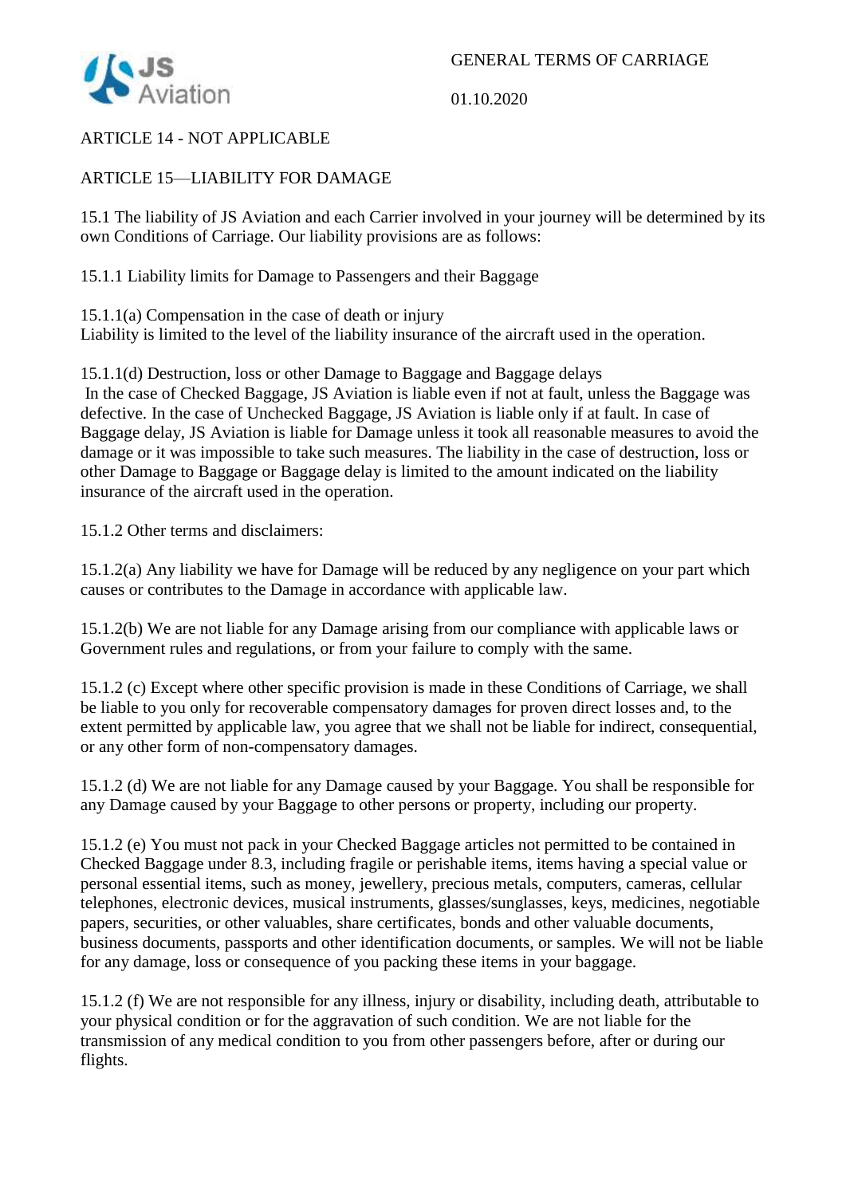

01.10.2020

# ARTICLE 14 - NOT APPLICABLE

# ARTICLE 15—LIABILITY FOR DAMAGE

15.1 The liability of JS Aviation and each Carrier involved in your journey will be determined by its own Conditions of Carriage. Our liability provisions are as follows:

15.1.1 Liability limits for Damage to Passengers and their Baggage

15.1.1(a) Compensation in the case of death or injury Liability is limited to the level of the liability insurance of the aircraft used in the operation.

15.1.1(d) Destruction, loss or other Damage to Baggage and Baggage delays In the case of Checked Baggage, JS Aviation is liable even if not at fault, unless the Baggage was defective. In the case of Unchecked Baggage, JS Aviation is liable only if at fault. In case of Baggage delay, JS Aviation is liable for Damage unless it took all reasonable measures to avoid the damage or it was impossible to take such measures. The liability in the case of destruction, loss or other Damage to Baggage or Baggage delay is limited to the amount indicated on the liability insurance of the aircraft used in the operation.

15.1.2 Other terms and disclaimers:

15.1.2(a) Any liability we have for Damage will be reduced by any negligence on your part which causes or contributes to the Damage in accordance with applicable law.

15.1.2(b) We are not liable for any Damage arising from our compliance with applicable laws or Government rules and regulations, or from your failure to comply with the same.

15.1.2 (c) Except where other specific provision is made in these Conditions of Carriage, we shall be liable to you only for recoverable compensatory damages for proven direct losses and, to the extent permitted by applicable law, you agree that we shall not be liable for indirect, consequential, or any other form of non-compensatory damages.

15.1.2 (d) We are not liable for any Damage caused by your Baggage. You shall be responsible for any Damage caused by your Baggage to other persons or property, including our property.

15.1.2 (e) You must not pack in your Checked Baggage articles not permitted to be contained in Checked Baggage under 8.3, including fragile or perishable items, items having a special value or personal essential items, such as money, jewellery, precious metals, computers, cameras, cellular telephones, electronic devices, musical instruments, glasses/sunglasses, keys, medicines, negotiable papers, securities, or other valuables, share certificates, bonds and other valuable documents, business documents, passports and other identification documents, or samples. We will not be liable for any damage, loss or consequence of you packing these items in your baggage.

15.1.2 (f) We are not responsible for any illness, injury or disability, including death, attributable to your physical condition or for the aggravation of such condition. We are not liable for the transmission of any medical condition to you from other passengers before, after or during our flights.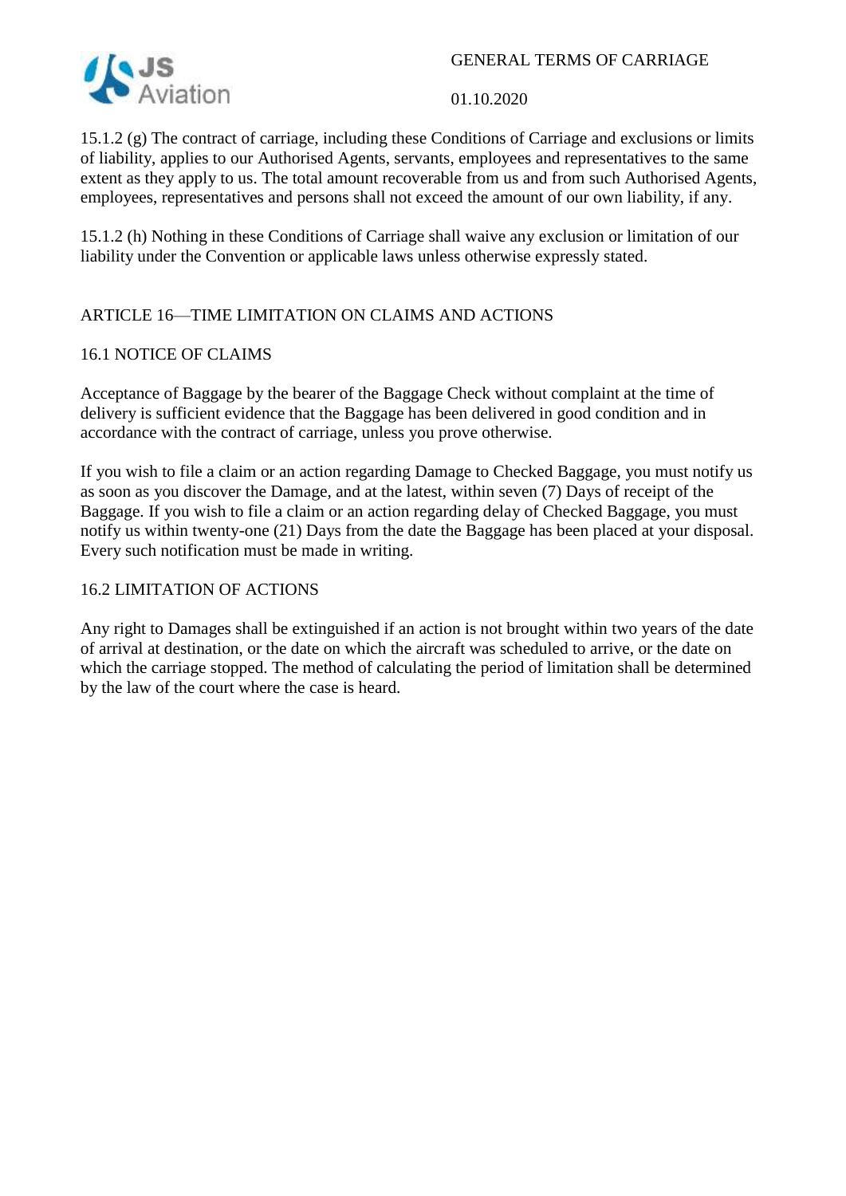

01.10.2020

15.1.2 (g) The contract of carriage, including these Conditions of Carriage and exclusions or limits of liability, applies to our Authorised Agents, servants, employees and representatives to the same extent as they apply to us. The total amount recoverable from us and from such Authorised Agents, employees, representatives and persons shall not exceed the amount of our own liability, if any.

15.1.2 (h) Nothing in these Conditions of Carriage shall waive any exclusion or limitation of our liability under the Convention or applicable laws unless otherwise expressly stated.

# ARTICLE 16—TIME LIMITATION ON CLAIMS AND ACTIONS

## 16.1 NOTICE OF CLAIMS

Acceptance of Baggage by the bearer of the Baggage Check without complaint at the time of delivery is sufficient evidence that the Baggage has been delivered in good condition and in accordance with the contract of carriage, unless you prove otherwise.

If you wish to file a claim or an action regarding Damage to Checked Baggage, you must notify us as soon as you discover the Damage, and at the latest, within seven (7) Days of receipt of the Baggage. If you wish to file a claim or an action regarding delay of Checked Baggage, you must notify us within twenty-one (21) Days from the date the Baggage has been placed at your disposal. Every such notification must be made in writing.

## 16.2 LIMITATION OF ACTIONS

Any right to Damages shall be extinguished if an action is not brought within two years of the date of arrival at destination, or the date on which the aircraft was scheduled to arrive, or the date on which the carriage stopped. The method of calculating the period of limitation shall be determined by the law of the court where the case is heard.